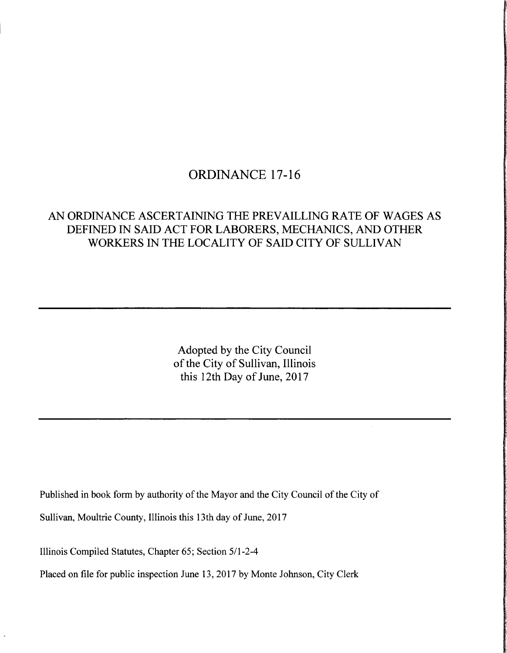# ORDINANCE 17-16

## AN ORDINANCE ASCERTAINING THE PREVAILLING RATE OF WAGES AS DEFINED IN SAID ACT FOR LABORERS, MECHANICS, AND OTHER WORKERS IN THE LOCALITY OF SAID CITY OF SULLIVAN

Adopted by the City Council of the City of Sullivan, Illinois this 12th Day of June, 2017

Published in book form by authority of the Mayor and the City Council of the City of

Sullivan, Moultrie County, Illinois this 13th day of June, 2017

Illinois Compiled Statutes, Chapter 65; Section 5/1-2-4

Placed on file for public inspection June 13, 2017 by Monte Johnson, City Clerk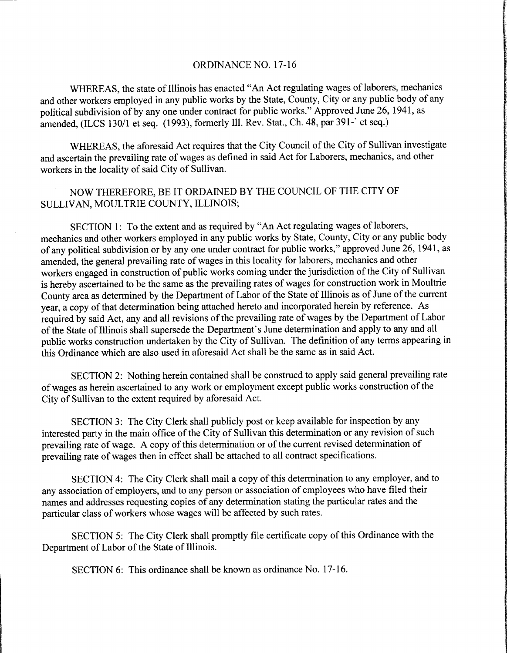#### ORDINANCE NO. 17-16

WHEREAS, the state of Illinois has enacted " An Act regulating wages of laborers, mechanics and other workers employed in any public works by the State, County, City or any public body of any political subdivision of by any one under contract for public works." Approved June 26, 1941, as amended, (ILCS 130/1 et seq. (1993), formerly Ill. Rev. Stat., Ch. 48, par 391-' et seq.)

WHEREAS, the aforesaid Act requires that the City Council of the City of Sullivan investigate and ascertain the prevailing rate of wages as defined in said Act for Laborers, mechanics, and other workers in the locality of said City of Sullivan.

### NOW THEREFORE, BE IT ORDAINED BY THE COUNCIL OF THE CITY OF SULLIVAN, MOULTRIE COUNTY, ILLINOIS;

SECTION 1: To the extent and as required by" An Act regulating wages of laborers, mechanics and other workers employed in any public works by State, County, City or any public body ofany political subdivision or by any one under contract for public works," approved June 26, 1941, as amended, the general prevailing rate of wages in this locality for laborers, mechanics and other workers engaged in construction of public works coming under the jurisdiction of the City of Sullivan is hereby ascertained to be the same as the prevailing rates of wages for construction work in Moultrie County area as determined by the Department of Labor of the State of Illinois as of June of the current year, a copy of that determination being attached hereto and incorporated herein by reference. As required by said Act, any and all revisions of the prevailing rate of wages by the Department of Labor of the State of Illinois shall supersede the Department' <sup>s</sup> June determination and apply to any and all public works construction undertaken by the City of Sullivan. The definition of any terms appearing in this Ordinance which are also used in aforesaid Act shall be the same as in said Act.

SECTION 2: Nothing herein contained shall be construed to apply said general prevailing rate of wages as herein ascertained to any work or employment except public works construction ofthe City of Sullivan to the extent required by aforesaid Act.

SECTION 3: The City Clerk shall publicly post or keep available for inspection by any interested party in the main office of the City of Sullivan this determination or any revision of such prevailing rate of wage. A copy of this determination or of the current revised determination of prevailing rate of wages then in effect shall be attached to all contract specifications.

SECTION 4: The City Clerk shall mail <sup>a</sup> copy of this determination to any employer, and to any association of employers, and to any person or association of employees who have filed their names and addresses requesting copies of any determination stating the particular rates and the particular class of workers whose wages will be affected by such rates.

SECTION 5: The City Clerk shall promptly file certificate copy of this Ordinance with the Department of Labor of the State of Illinois.

SECTION 6: This ordinance shall be known as ordinance No. 17-16.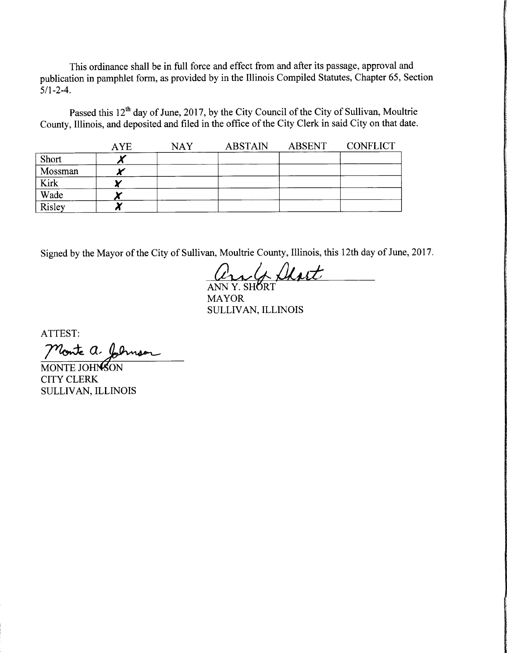This ordinance shall be in full force and effect from and after its passage, approval and publication in pamphlet form, as provided by in the Illinois Compiled Statutes, Chapter 65, Section  $5/1 - 2 - 4$ .

Passed this 12<sup>th</sup> day of June, 2017, by the City Council of the City of Sullivan, Moultrie County, Illinois, and deposited and filed in the office of the City Clerk in said City on that date.

|         | <b>AYE</b> | <b>NAY</b> | <b>ABSTAIN</b> | ABSENT | <b>CONFLICT</b> |
|---------|------------|------------|----------------|--------|-----------------|
| Short   |            |            |                |        |                 |
| Mossman |            |            |                |        |                 |
| Kirk    |            |            |                |        |                 |
| Wade    |            |            |                |        |                 |
| Risley  |            |            |                |        |                 |

Signed by the Mayor of the City of Sullivan, Moultrie County, Illinois, this 12th day of June, 2017.

and Dhart

MAYOR SULLIVAN, ILLINOIS

ATTEST:

Monte a. Johnson

MONTE JOHNSON CITY CLERK SULLIVAN, ILLINOIS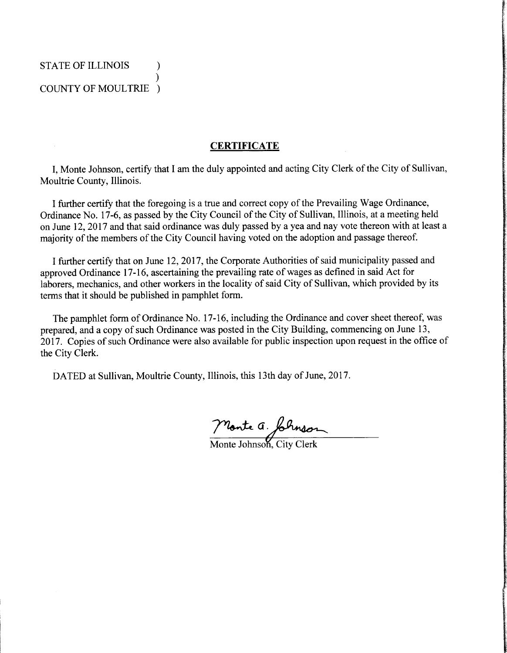#### STATE OF ILLINOIS  $\lambda$  $\mathcal{L}$ COUNTY OF MOULTRIE )

#### **CERTIFICATE**

I, Monte Johnson, certify that I am the duly appointed and acting City Clerk of the City of Sullivan, Moultrie County, Illinois.

I further certify that the foregoing is a true and correct copy of the Prevailing Wage Ordinance, Ordinance No. 17-6, as passed by the City Council of the City of Sullivan, Illinois, at a meeting held on June 12, 2017 and that said ordinance was duly passed by a yea and nay vote thereon with at least a majority of the members of the City Council having voted on the adoption and passage thereof.

I further certify that on June 12, 2017, the Corporate Authorities of said municipality passed and approved Ordinance 17-16, ascertaining the prevailing rate of wages as defined in said Act for laborers, mechanics, and other workers in the locality of said City of Sullivan, which provided by its terms that it should be published in pamphlet form.

The pamphlet form of Ordinance No. 17-16, including the Ordinance and cover sheet thereof, was prepared, and <sup>a</sup> copy of such Ordinance was posted in the City Building, commencing on June 13, 2017. Copies of such Ordinance were also available for public inspection upon request in the office of the City Clerk.

DATED at Sullivan, Moultrie County, Illinois, this 13th day of June, 2017.

Monte a formsor

Monte Johnson, City Clerk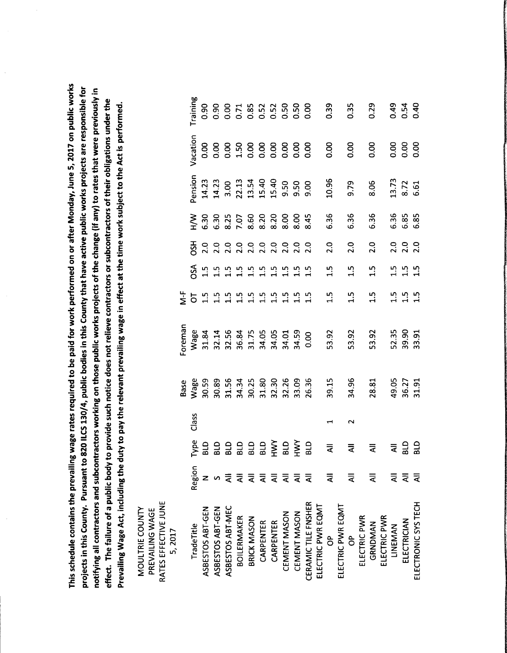schedule contains thepressing<br>the pair of the pair of the controller set of the controller set of the controller set of the controller set o<br>the controller set of the controller set of the controller set of the controller set of the control  $\overline{\phantom{a}}$  . rates required to be  $\bullet$ for work |<br>Soun<br>Coun on or  $\ddot{\phantom{a}}$ Monday, June .<br>ທີ່ on  $\blacksquare$  $\tilde{\phantom{a}}$  $\tilde{a}$ County. Pursuant to  $\bm{\infty}$  $\equiv$  $\blacksquare$  $\bar{\vec{r}}$  . bodies  $\tilde{a}$  $$ that have active  $\bullet$   $\bullet$  $\overline{\phantom{a}}$  $$ are<br>are is for  $\boldsymbol{\sigma}$  $\cdots$ and subcontractors  $\tilde{\phantom{a}}$ on  $\overline{\phantom{a}}$  ,  $\qquad \qquad$  $\overline{\phantom{a}}$  $\overline{\phantom{a}}$ of  $\ddot{\phantom{0}}$ change( if any) to rates that  $\overline{\phantom{a}}$  $$ in The  $\bullet$ of a public body to provide w. notice does not relieve contractors or  $\cdots$  subcontractors and  $\cdots$ of their of the t under  $\overline{\phantom{a}}$ waa ku mid ku mid ku mid ku mid ku mid ku mid ku mid ku mid ku mid ku mid ku mid ku mid ku mid ku mid ku mid ku mid ku mid ku mid ku mid ku mid ku mid ku mid ku mid ku mid ku mid ku mid ku mid ku mid ku mid ku mid ku mid k  $\overline{\phantom{a}}$ including the state of the state of the state of the state of the state of the state of the state of the state of the state of the state of the state of the state of the state of the state of the state of the state of the  $\ddot{\phantom{0}}$ o. to  $\overline{\mathbf{p}}$  $\overline{\phantom{a}}$ relevant <u>preval</u>  $\overline{\phantom{a}}$ in effect at  $\overline{\phantom{a}}$  $\mathbf{t}$ works. The contract of the contract of the contract of the contract of the contract of the contract of the contract of the contract of the contract of the contract of the contract of the contract of the contract of the con  $\bullet$ to  $\blacksquare$  $\ddot{\phantom{0}}$  $\overline{\mathbf{e}}$ .

Vacation

بہ

بہ

o<br>O

0. 00

 $\mathbf{\mathbf{t}}$ 

ب

4

4

0. 00

0. 00

o<br>O

0. 00

თ

9. 79

 $\frac{8}{8}$ 

7

8. 72

ه.<br>ق

0. 00

 $0.4$ 

0. 00

0. 54

0. 00

 $\frac{4}{1}$ 

0. 00

0. 29

0. 00

 $\frac{3}{2}$ 

0. 00

 $\frac{3}{2}$ 

0. 00

0. 50

0. 50

0. 52

0. 00

0. 52

0. 00

 $\frac{8}{10}$ 

1. 50

 $\overline{0}$ 

0. 00

0. 90

0. 00

0. 90

Training

This

 $-$ 

notifying

 $\bullet$ 

Prevailing the control of the control of the control of the control of the control of the control of the control of the control of the control of the control of the control of the control of the control of the control of t

Pension 3. 00 9. 50 9. 50 9. 00  $\blacktriangleleft$  $\overline{\phantom{0}}$  $\mathbf{\mathbf{r}}$  $\bar{\mathbf{r}}$ 13. 14.  $\mathbf{\mathbf{t}}$  $\sim$ Pension  $\sum_{H}$ 6. 36 6. 36 6. 36 6. 36 6. 85 6. 85 6. 30 6. 30  $\frac{2}{8}$ 7. 07 8. 60 8. 20 8. 20  $\frac{1}{8}$  $\frac{8}{8}$  $\frac{4}{8}$ OSH 2. 0 2. 0 2. 0 2. 0 2.0 2. 0 2. 0 2. 0 2. 0 2. 0 2. 0 2. 0 2.0 2. 0 2. 0 2. 0 OSA 1. 5 1. 5 1. 5 1. 5  $1.5$  $1.5$ 1. 5 1. 5 1. 5  $1.5$ 1. 5 1. 5 1. 5 1. 5 1. 5 1. 5 1. 5 1. 5 1. 5 1. 5 1. 5 1. 5 1. 5 1. 5 1. 5 1. 5 1. 5 1. 5 1. 5 1. 5  $\dot{\mathbf{z}}$ OT  $1.5$ 1. 5 Foreman Wage  $^{\circ}$  $\mathbf{\mathbf{\mathsf{H}}}$ ເກ  $^{\circ}$ 7 0 0 0 ب ማ بە بە ო თ بە 0. 00  $\mathsf{a}$ m. m  $\mathsf{a}$ ო m  $\mathsf{a}$ 3 3 ო 53. 53. m 52. ო Foreman Base<br>Nage  $\mathsf P$  $^{\circ}$ 5 ო بہ  $^{\circ}$ ن  $\sim$  $\circ$ m  $\mathbf{\mathbf{\mathbf{f}}}$ بە 8 0  $\sim$ بہ  $\mathsf{a}$ m. <u>ო</u> m m. m, m. m  $\mathsf{S}$ 2 ო  $\omega$  $\sim$ 4 m. 3  $\tilde{\phantom{a}}$  was the set of the set of the set of the set of the set of the set of the set of the set of the set of the set of the set of the set of the set of the set of the set of the set of the set of the set of the set Class  $\overline{A}$  $\frac{1}{2}$  $\sim$  $\blacktriangleleft$ Type BLD BLD BLD BLD BLD BLD HWY BLD HWY BLD BLD BLD All ₹ ₹ द Region  $\bar{a}$  $\overline{\overline{\mathbf{z}}}$  $\bar{a}$  $\overline{a}$  $\bar{z}$  $\bar{z}$  $\bar{z}$  $\bar{z}$  $\bar{a}$  $\bar{z}$ GEN S z<br>Missis<br>Generalist All All All All MOULTRIE COUNTY<br>PREVAILING WAGE CEMENT MASON ELECTRIC PWR<br>GRNDMAN LINEMAN<br>ELECTRICIAN  $\overline{\phantom{a}}$ CARPENTER<br>CARPENTER te and the second second second second second second second second second second second second second second second second second second second second second second second second second second second second second second s  $-$ EQMT en en de la posta de la posta de la posta de la posta de la posta de la posta de la posta de la posta de la posta de la posta de la posta de la posta de la posta de la posta de la posta de la posta de la posta de la posta  $\tilde{\phantom{a}}$ ہر جاتا v,  $\delta$ ិ  $\tilde{\phantom{a}}$  $\tilde{\phantom{a}}$  $\tilde{\phantom{a}}$ MASON MASON ա թ PWR  $\tilde{5}$ TILE EFFECTIVE CONTINUES IN THE RESIDENCE OF REAL PROPERTY. te and the second second the second second terms of the second second terms of the second second terms of the s ᆸ - 급 CARPENTER  $\equiv$ BOILERMAKER BRICK  $\tilde{\phantom{a}}$ CEMENT  $\epsilon$  – a – ASBESTOS ASBESTOS ASBESTOS ELECTRIC ELECTRIC **CERAMIC CERAMIC CERAMIC CERAMIC CERAMIC CERAMIC CERAMIC CERAMIC CERAMIC CERAMIC CERAMIC CERAMIC CERAMIC CERAMIC CER** ELECTRONIC RATES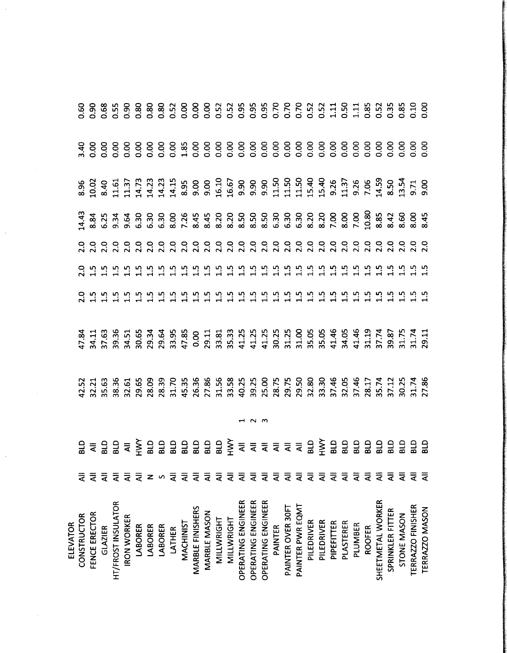| <b>ELEVATOR</b>    |                                    |                                                                                                                                                                                                                                                                                                                   |  |  |  |  |  |
|--------------------|------------------------------------|-------------------------------------------------------------------------------------------------------------------------------------------------------------------------------------------------------------------------------------------------------------------------------------------------------------------|--|--|--|--|--|
| CONSTRUCTOR        | ₹                                  |                                                                                                                                                                                                                                                                                                                   |  |  |  |  |  |
| FENCE ERECTOR      | $\bar{a}$                          |                                                                                                                                                                                                                                                                                                                   |  |  |  |  |  |
| <b>GLAZIER</b>     | $\bar{a}$                          |                                                                                                                                                                                                                                                                                                                   |  |  |  |  |  |
| HT/FROST INSULATOR | $\bar{a}$                          |                                                                                                                                                                                                                                                                                                                   |  |  |  |  |  |
| <b>IRON WORKER</b> | $\bar{a}$                          |                                                                                                                                                                                                                                                                                                                   |  |  |  |  |  |
| LABORER            | $\bar{a}$                          |                                                                                                                                                                                                                                                                                                                   |  |  |  |  |  |
| LABORER            | z                                  |                                                                                                                                                                                                                                                                                                                   |  |  |  |  |  |
| LABORER            | $\mathbf{v}$                       |                                                                                                                                                                                                                                                                                                                   |  |  |  |  |  |
| <b>LATHER</b>      | ₹                                  |                                                                                                                                                                                                                                                                                                                   |  |  |  |  |  |
| <b>MACHINIST</b>   | $\bar{a}$                          |                                                                                                                                                                                                                                                                                                                   |  |  |  |  |  |
| MARBLE FINISHERS   | $\bar{a}$                          |                                                                                                                                                                                                                                                                                                                   |  |  |  |  |  |
| MARBLE MASON       | $\bar{\bar{\mathbf{z}}}$           |                                                                                                                                                                                                                                                                                                                   |  |  |  |  |  |
| MILLWRIGHT         | ₹                                  |                                                                                                                                                                                                                                                                                                                   |  |  |  |  |  |
| MILLWRIGHT         | ₹                                  |                                                                                                                                                                                                                                                                                                                   |  |  |  |  |  |
| OPERATING ENGINEER | $\bar{a}$                          | $2\pm\frac{1}{2}$ $3\pm\frac{1}{2}$ $4\pm\frac{1}{2}$ $5\pm\frac{1}{2}$ $3\pm\frac{1}{2}$ $5\pm\frac{1}{2}$ $5\pm\frac{1}{2}$ $5\pm\frac{1}{2}$ $5\pm\frac{1}{2}$ $5\pm\frac{1}{2}$ $5\pm\frac{1}{2}$ $5\pm\frac{1}{2}$ $5\pm\frac{1}{2}$ $5\pm\frac{1}{2}$ $5\pm\frac{1}{2}$ $5\pm\frac{1}{2}$ $5\pm\frac{1}{2}$ |  |  |  |  |  |
| OPERATING ENGINEER | $\bar{a}$                          |                                                                                                                                                                                                                                                                                                                   |  |  |  |  |  |
| OPERATING ENGINEER | $\bar{z}$                          |                                                                                                                                                                                                                                                                                                                   |  |  |  |  |  |
| <b>PAINTER</b>     | $\overline{\overline{\mathbf{z}}}$ |                                                                                                                                                                                                                                                                                                                   |  |  |  |  |  |
| PAINTER OVER 30FT  | $\bar{a}$                          |                                                                                                                                                                                                                                                                                                                   |  |  |  |  |  |
| PAINTER PWR EQMT   | $\bar{a}$                          |                                                                                                                                                                                                                                                                                                                   |  |  |  |  |  |
| PILEDRIVER         | $\bar{a}$                          |                                                                                                                                                                                                                                                                                                                   |  |  |  |  |  |
| PILEDRIVER         | $\bar{z}$                          |                                                                                                                                                                                                                                                                                                                   |  |  |  |  |  |
| PIPEFITTER         | $\bar{\bar{\mathbf{z}}}$           |                                                                                                                                                                                                                                                                                                                   |  |  |  |  |  |
| PLASTERER          | $\bar{a}$                          |                                                                                                                                                                                                                                                                                                                   |  |  |  |  |  |
| PLUMBER            | $\bar{a}$                          |                                                                                                                                                                                                                                                                                                                   |  |  |  |  |  |
| <b>ROOFER</b>      | $\bar{a}$                          |                                                                                                                                                                                                                                                                                                                   |  |  |  |  |  |
| SHEETMETAL WORKER  | ₹                                  |                                                                                                                                                                                                                                                                                                                   |  |  |  |  |  |
| SPRINKLER FITTER   | $\bar{a}$                          |                                                                                                                                                                                                                                                                                                                   |  |  |  |  |  |
| STONE MASON        | ₹                                  |                                                                                                                                                                                                                                                                                                                   |  |  |  |  |  |
| TERRAZZO FINISHER  | ₹                                  |                                                                                                                                                                                                                                                                                                                   |  |  |  |  |  |
| TERRAZZO MASON     | ₹                                  |                                                                                                                                                                                                                                                                                                                   |  |  |  |  |  |
|                    |                                    |                                                                                                                                                                                                                                                                                                                   |  |  |  |  |  |

 $\ddot{\phantom{0}}$ 

 $\hat{\mathcal{A}}$ 

 $\frac{1}{2}$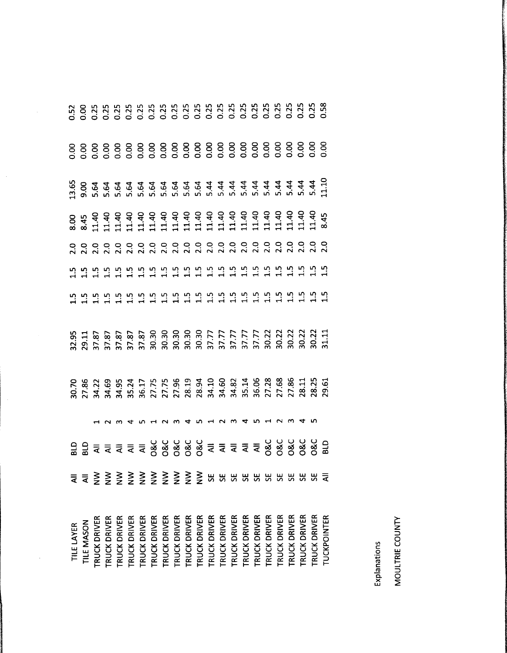|            | 22222222222222222                                                                                                                                                                                                               |              |              |                    |                     |                                                                   |              |              |                     |              |              |              |                     |                     |              |                     |                 |              |                     |                     |                     |                    |
|------------|---------------------------------------------------------------------------------------------------------------------------------------------------------------------------------------------------------------------------------|--------------|--------------|--------------------|---------------------|-------------------------------------------------------------------|--------------|--------------|---------------------|--------------|--------------|--------------|---------------------|---------------------|--------------|---------------------|-----------------|--------------|---------------------|---------------------|---------------------|--------------------|
|            |                                                                                                                                                                                                                                 |              |              |                    |                     |                                                                   |              |              |                     |              |              |              |                     |                     |              |                     |                 |              |                     |                     |                     |                    |
|            | 8, 11 12 12 13 13 14 15 16 16 16 17 17 17 17 17 17 18 17 18 17 17 17 18 18 18 18 19 10 11 11 11 11 11 11 11 11<br>12 12 12 12 12 12 12 13 13 13 13 13 14 15 16 17 17 17 17 17 18 17 18 17 18 17 18 17 18 17 18 17 18 17 18 17 1 |              |              |                    |                     |                                                                   |              |              |                     |              |              |              |                     |                     |              |                     |                 |              |                     |                     |                     |                    |
|            |                                                                                                                                                                                                                                 |              |              |                    |                     |                                                                   |              |              |                     |              |              |              |                     |                     |              |                     |                 |              |                     |                     |                     |                    |
|            |                                                                                                                                                                                                                                 |              |              |                    |                     |                                                                   |              |              |                     |              |              |              |                     |                     |              |                     |                 |              |                     |                     |                     |                    |
|            |                                                                                                                                                                                                                                 |              |              |                    |                     |                                                                   |              |              |                     |              |              |              |                     |                     |              |                     |                 |              |                     |                     |                     |                    |
|            | द द                                                                                                                                                                                                                             | $\geq$       | $\geq$       | $\geqq$            |                     | $\begin{array}{c} 2 \geq 3 \geq 3 \\ 2 \geq 2 \geq 2 \end{array}$ |              |              |                     | $\geq$       | $\geqq$      |              |                     |                     |              |                     | <b>RRRRRRRR</b> |              |                     | <b>32</b><br>55     |                     | $\bar{z}$          |
| TILE LAYER | TILE MASON                                                                                                                                                                                                                      | TRUCK DRIVER | TRUCK DRIVER | <b>RUCK DRIVER</b> | <b>TRUCK DRIVER</b> | TRUCK DRIVER                                                      | TRUCK DRIVER | TRUCK DRIVER | <b>TRUCK DRIVER</b> | TRUCK DRIVER | TRUCK DRIVER | TRUCK DRIVER | <b>TRUCK DRIVER</b> | <b>TRUCK DRIVER</b> | TRUCK DRIVER | <b>TRUCK DRIVER</b> | TRUCK DRIVER    | TRUCK DRIVER | <b>TRUCK DRIVER</b> | <b>TRUCK DRIVER</b> | <b>TRUCK DRIVER</b> | <b>TUCKPOINTER</b> |

 $\frac{1}{2}$ 

 $\frac{1}{2}$ 

Explanations MOULTRIE COUNTY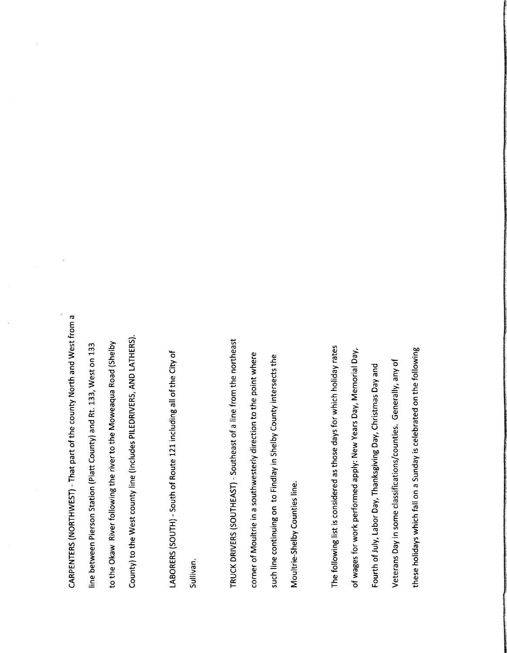NORTHWEST)-  $\blacksquare$  $\overline{\phantom{a}}$ of  $\overline{\phantom{a}}$  $\overline{\phantom{a}}$  $\overline{\phantom{a}}$ and  $\overline{\phantom{a}}$ froma  $=$ between Pierson  $\bullet$  . Piatt  $\overline{\phantom{a}}$ and  $\propto$ —  $\tilde{\phantom{a}}$ on to  $\overline{\phantom{a}}$ Okaw River following  $\overline{\phantom{a}}$ river to the I<br>Spa Road ( Shelby to  $\overline{\phantom{a}}$  $\tilde{\phantom{a}}$  $\overline{\phantom{a}}$  $\equiv$ <u>Includes</u> PILEDRIVERS,  $\overline{\phantom{a}}$ LATHERS).

 $\tilde{\phantom{a}}$ 

CARPENTERS(

LABORERS( SOUTH) v, of Route  $\blacksquare$ including ᢐ of  $\overline{\phantom{a}}$  $\cup$ of

Sullivan. TRUCK DRIVERS (  $\blacksquare$ Southeast of a line  $\leftarrow$  $\overline{\phantom{a}}$ northeast control in the control of the control of the control of the control of the control of the control of  $\sim$  $\overline{5}$ inasouthwesterly direction and the contract of the contract of the contract of the contract of the contract of the contract of the contract of the contract of the contract of the contract of the contract of the contract of the contract of to  $\overline{\phantom{a}}$  $\overline{\phantom{a}}$  $\overline{\phantom{a}}$ such line<br>trieon to Findlay  $\Xi$  $\overline{\phantom{a}}$ intersects  $\overline{\phantom{a}}$  $-$ Shelby Counties line.

The  $\tau$  and  $\tau$ list  $\bar{s}$  o as  $\overline{f}$  $\overline{\phantom{a}}$ for  $\overline{\phantom{a}}$  $\overline{\phantom{a}}$  and  $\overline{\phantom{a}}$ rates  $\frac{1}{5}$ for works. The contract of the contract of the contract of the contract of the contract of the contract of the contract of the contract of the contract of the contract of the contract of the contract of the contract of the con performed  $\sim$  $\epsilon$  $\overline{\phantom{a}}$  $\Box$  $\overline{\phantom{a}}$  $\overline{\phantom{a}}$ Fourth of  $\overline{\phantom{a}}$  $\overline{\phantom{a}}$ Day,<br>e class  $\overline{\phantom{0}}$ Christmas  $\Box$ and  $\overline{\phantom{a}}$  $\tilde{a}$ classifications/ counties. Generally,  $\bm{\sigma}$ of these holidays are a constant of the constant of the constant of the constant of the constant of the constant of the constant of the constant of the constant of the constant of the constant of the constant of the constant of the which is a property of the contract of the contract of the contract of the contract of the contract of the contract of the contract of the contract of the contract of the contract of the contract of the contract of the con تنه ona Sunday  $\overline{a}$ on  $\overline{\phantom{a}}$  $\tau$ 

 $\mathcal{L}$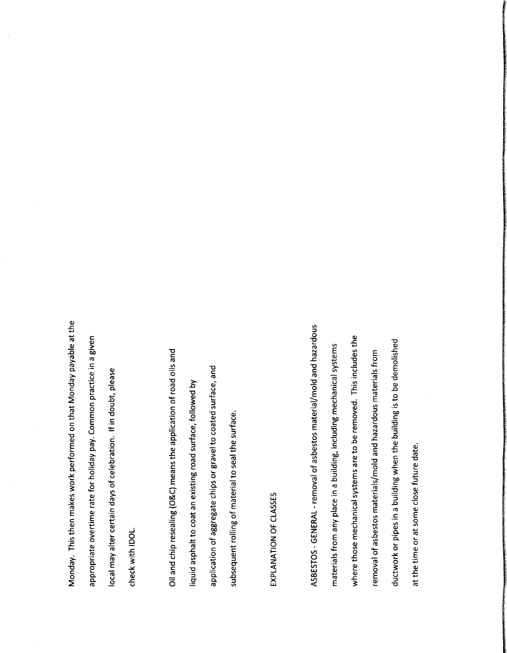This  $\overline{ }$ makes  $\tilde{\phantom{a}}$  $\qquad \qquad$ on  $\overline{\phantom{a}}$ Monday payable to be a payable of the second contract of the second contract of the second contract of the second contract of the second contract of the second contract of the second contract of the second contract of the second at  $\overline{\phantom{a}}$ overtime rate in the control of the control of the control of the control of the control of the control of the control of the control of the control of the control of the control of the control of the control of the control of the for  $\overline{\phantom{a}}$  and  $\overline{\phantom{a}}$  $\overline{\mathbf{r}}$ Common  $\qquad \qquad$ ina given may alter  $\overline{\phantom{a}}$  $\overline{\phantom{a}}$  $\bar{5}$ If in  $\epsilon$ please  $\overline{\phantom{a}}$ 

Monday.

appropriate

 $\equiv$ 

<sub>check</sub>

 $\tilde{\phantom{a}}$ 

 $\mathsf{\bm{u}}$ and chip resealing(  $\overline{O}_4$  $\bar{\mathbb{Q}}$  . the<br>d<br>pd of road  $\overline{\phantom{a}}$ and  $\overline{\phantom{a}}$ asphalt to  $\tilde{\phantom{a}}$ an existing road  $\cdots$ followed  $\overline{\mathbf{c}}$ ö, chips or  $\sim$  $\bar{e}$  $\cdots$ and to  $\overline{\phantom{a}}$ 

application subsequent

rolling

 $\bar{5}$ 

v,

 $\cdot$   $\cdot$ 

# $\mathbf \omega$ CLASSES

EXPLANATION

GENERALremoval  $\ddot{\bar{5}}$  $\blacksquare$ and hazardous diameter diameter diameter diameter diameter diameter diameter diameter diameter diameter diameter d<br>Haratta diameter diameter diameter diameter diameter diameter diameter diameter diameter diameter diameter dia materials  $\leftarrow$  $\bm{\sigma}$  $\sim$ ina building, including  $$ systems  $\mathcal{L}$  where  $\mathcal{L}$ those  $\cdot$  systems that  $\cdot$ are to م removed. This includes  $\overline{\phantom{0}}$ removal of asbestos materials/ mold  $\ddotsc$ h<del>azar</del>dous community and the second community of the second community of the second community of the second community of the second community of the second community of the second community of the second community of the materials are all the contracts of the contracts of the contracts of the contracts of the contracts of the contracts of the contracts of the contracts of the contracts of the contracts of the contracts of the contracts of  $\leftarrow$ duction and the state of the state of the state of the state of the state of the state of the state of the state of the state of the state of the state of the state of the state of the state of the state of the state of th or pipes in a l  $\tilde{\phantom{a}}$  $\overline{\phantom{a}}$ building the second control in the second control in the second control in the second control in the second control in the second control in the second control in the second control in the second control in the second cont is to be demolished at  $\overline{\phantom{a}}$  $\overline{\phantom{a}}$ or at some **c**  $\overline{\phantom{a}}$ date.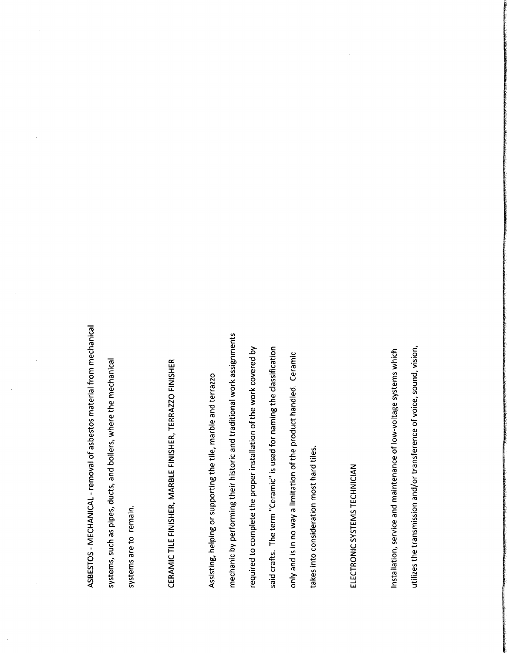removal of asbestos  $$ from mechanical v, as  $\overline{\phantom{a}}$  $\overline{\phantom{a}}$ and boilers, where the contract of the contract of the contract of the contract of the contract of the contract of the contract of the contract of the contract of the contract of the contract of the contract of the contract of the cont  $\overline{\phantom{a}}$ mechanical

systems are to remain.

 $\cdot$   $\cdot$ 

**CERAMIC CERAMIC CERAMIC CERAMIC CERAMIC CERAMIC CERAMIC CERAMIC CERAMIC CERAMIC CERAMIC CERAMIC CERAMIC CERAMIC CER** TILE  $-$ MARBLE FINISHER, TERRAZZO E ELECTRONICO E ELECTRONICO E ELECTRONICO E ELECTRONICO E ELECTRONICO E ELECTRONICO E ELECTRONICO E ELECTRONICO E ELECTRONICO E ELECTRONICO E ELECTRONICO E ELECTRONICO E ELECTRONICO E ELECTRONICO E ELECTRONICO E E FINISHER COMPANY OF THE COMPANY OF THE COMPANY OF THE COMPANY OF THE COMPANY OF THE COMPANY OF THE COMPANY OF

Assisting, helping ors<br>S  $\overline{\phantom{a}}$  $\overline{\phantom{a}}$ marble and  $\tau$ mechanic p<br>p<br>p<br>d  $\overline{\phantom{a}}$  $\overline{\phantom{a}}$  . The state  $\overline{\phantom{a}}$  $\ddotsc$ traditional work a<br>ark co required the contract of the contract of the contract of the contract of the contract of the contract of the contract of the contract of the contract of the contract of the contract of the contract of the contract of the c .<br>با ھ  $\overline{\phantom{a}}$  $\overline{\phantom{a}}$ installation of  $\overline{\phantom{a}}$ w. <u>covered</u> 트 v, crafts. The  $\overline{\phantom{a}}$  $\sim$  $\overline{a}$ for naming  $\overline{\phantom{a}}$ classification in the contraction of the contraction of the contraction of the contraction of the contraction of the contraction of the contraction of the contraction of the contraction of the contraction of the contractio only and is in no lie Vew<br>I e Vew  $\circ$  $\overline{\phantom{a}}$  $\overline{\phantom{a}}$ handled. The contract of the contract of the contract of the contract of the contract of the contract of the contract of the contract of the contract of the contract of the contract of the contract of the contract of the c  $\sim$  $\overline{\phantom{a}}$ into consideration in the construction of the construction of the construction of the construction of the construction of the construction of the construction of the construction of the construction of the construction of the c  $\overline{\phantom{0}}$ hard and distribution of the set of the set of the set of the set of the set of the set of the set of the set of the set of the set of the set of the set of the set of the set of the set of the set of the set of the set of  $\overline{\phantom{a}}$ 

SYSTEMS TECHNICIAN

ELECTRONIC

Installation,  $\cdot$  . The set of  $\cdot$ and maintenance of  $\tilde{=}$ voltage systems  $\overline{\phantom{a}}$ <u>utilizes and the set of the set of the set of the set of the set of the set of the set of the set of the set of the set of the set of the set of the set of the set of the set of the set of the set of the set of the set of</u>  $\overline{\phantom{a}}$ t<del>ransmission</del>  $\mathbf u$ or transference  $\frac{1}{5}$ sound, vision,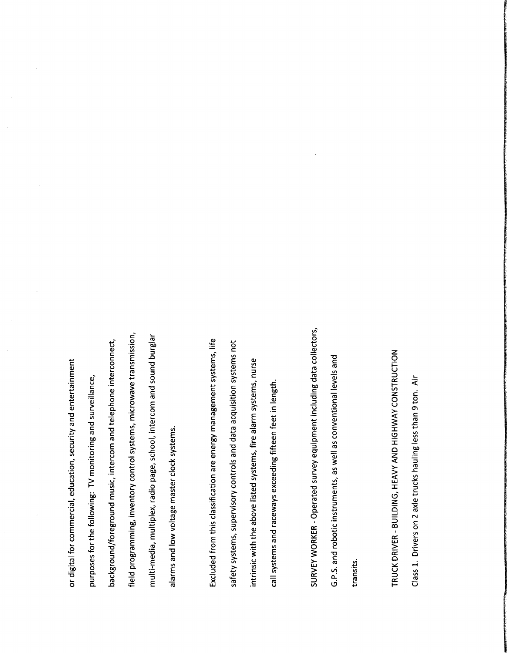or  $\overline{\phantom{a}}$  $\overline{b}$ education, security and for  $\overline{\phantom{a}}$ following: ت<br>منابع and foreground music, intercom and t<br>and interconnect, field  $p$ inventory control  $\cdot$   $\cdot$ microwave  $\overline{\phantom{0}}$  $$ multiplex, radio  $\overline{\phantom{a}}$ school, intercom and sound burga kacamatan ing kacamatan ing kacamatan ing kacamatan ing kacamatan ing kacamatan ing kacamatan ing kacama and  $\geq$ voltage master  $\overline{\phantom{a}}$ systems.

 $\overline{\phantom{a}}$ 

background/ and the second second second second second second second second second second second second second second second second second second second second second second second second second second second second second

alarms

Exclude the control of the control of the control of the control of the control of the control of the control of the control of the control of the control of the control of the control of the control of the control of the  $\leftarrow$  $\blacksquare$ classification in the contract of the contract of the contract of the contract of the contract of the contract of the contract of the contract of the contract of the contract of the contract of the contract of the contract are energy management systems,  $=$ vi  $\cdot$   $\cdot$ supervisory and the supervisory of the supervisory of the supervisory of the supervisory of the supervisory of the supervisory of the supervisory of the supervisory of the supervisory of the supervisory of the supervisory control in the control of the control of the control of the control of the control of the control of the control of the control of the control of the control of the control of the control of the control of the control of t and data **.**<br>re ala  $\bullet$  systems to the system of  $\bullet$ not intrinsic  $\sim$  $\overline{\phantom{a}}$ above listed  $\cdot$   $\cdot$  $\leftarrow$ alarm systems, nurse  $\checkmark$ systems and r<br>and exceeding fifteen  $\overline{f}$  $\overline{a}$ 

SURVEY  $\tilde{\phantom{a}}$ Operated survey equipment including  $\overline{\phantom{a}}$ collectors, G. ة<br>م.<br>م. robotic instruments, as  $\tilde{\phantom{a}}$ as conventional  $\equiv$ and

transits. TRUCK DRIVER-BUILDING, Heavy and the second contract of the second contract of the second contract of the second contract of the second contract of the second contract of the second contract of the second contract of the second contract of the s  $\sim$ HIGHWAY THE CHANNEL COMPANY OF THE CHANNEL COMPANY OF THE CHANNEL COMPANY OF THE CHANNEL COMPANY OF THE CHANNEL COMPANY OF THE CHANNEL COMPANY OF THE CHANNEL COMPANY OF THE CHANNEL COMPANY OF THE CHANNEL COMPANY OF THE CHA CONSTRUCTION  $\sim$  $\frac{1}{1}$ on  $2i$ trucks hauling less than  $9t$ Air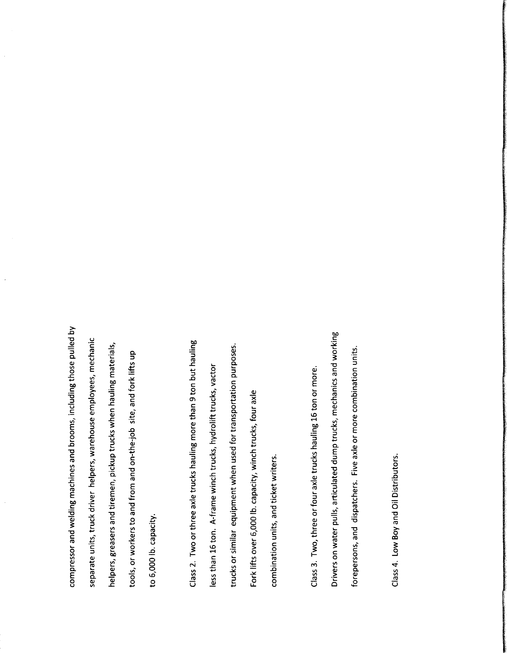and  $\overline{ }$  well as  $\overline{ }$ machines and brooms, including those  $\overline{\phantom{0}}$  $\mathbf{z}$  $\tilde{\phantom{a}}$  $\overline{\phantom{a}}$  $\overline{\phantom{a}}$ helpers, warehouse was a more of the contract of the contract of the contract of the contract of the contract of the contract of the contract of the contract of the contract of the contract of the contract of the contract of the co employees, mechanic  $\overline{\phantom{a}}$ greasers and tiremen,  $\overline{\phantom{a}}$ trucks  $\mathcal{L}$  when  $\overline{\phantom{a}}$  in the set of  $\overline{\phantom{a}}$ materials,  $\overline{\phantom{a}}$ ნ<br>ნ  $\frac{a}{2}$  $\leftarrow$ and on-ب  $\div$ site, and  $\leftarrow$  $=$ up  $\frac{1}{2}$ ت<br>ت  $\frac{6}{10}$ 

compressor

separate

 $\overline{\phantom{a}}$  $\overline{c}$ or  $\overline{\phantom{a}}$ axle trucks hauling more than 9 t ع hauling less  $\overline{\phantom{a}}$  $\blacktriangleleft$  $\overline{\phantom{a}}$  $\frac{1}{4}$ winch the contract of the contract of the contract of the contract of the contract of the contract of the contract of the contract of the contract of the contract of the contract of the contract of the contract of the cont  $\tau$ hydrolift and the second second second second second second second second second second second second second second second second second second second second second second second second second second second second second s trucks,  $\overline{\phantom{a}}$  $\mathbf{t}$ or similar equipment  $\sim$   $\sim$ used and developed and for transportation purposes.  $\equiv$  $\tilde{\phantom{a}}$ ت<br>ن  $\frac{6}{10}$  $\overline{ }$  $\overline{\phantom{m}}$  $\div$  $\ddot{\phantom{0}}$  $\cdot$ 

 $\tilde{\phantom{a}}$  $\frac{1}{2}$  $\overline{\phantom{a}}$ or  $\leftarrow$ axle trucks  $\overline{\phantom{a}}$  and  $\overline{\phantom{a}}$  $\overline{\phantom{0}}$  $\overline{\phantom{a}}$ or more. Drivers on  $\overline{\phantom{a}}$  $\overline{\phantom{a}}$  $\overline{\phantom{a}}$  $\overline{\mathbf{u}}$  $\overline{\phantom{m}}$ mechanics and  $\overline{\phantom{a}}$ forepersons, and dispatchers. Five axle or more than the contract of the contract of the contract of the contract of the contract of the contract of the contract of the contract of the contract of the contract of the contract of the contract of the contract of the combination of the combination of the combination of the combination of the combination of the combination of the combination of the combination of the combination of the combination of the combination of the combination o  $\overline{\phantom{a}}$ 

combination

 $\overline{\phantom{a}}$ 

and

writers.

 $\tilde{\phantom{a}}$  $\frac{1}{4}$ Boy and  $\mathsf{\bm{v}}$ Distributors.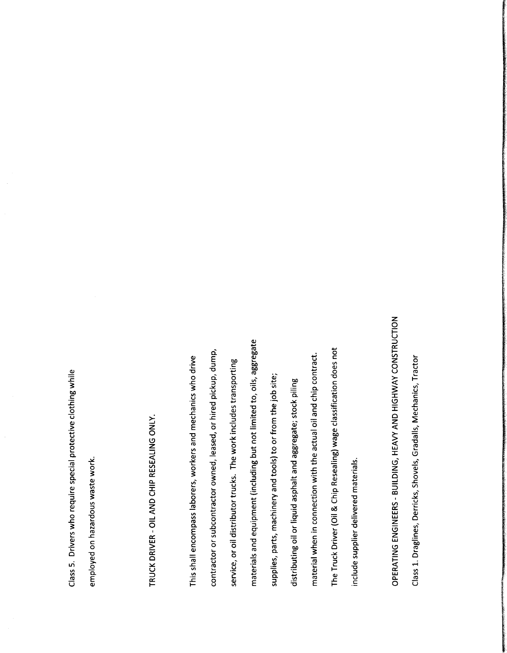$\tilde{\phantom{a}}$ 5. Drivers  $\tilde{\phantom{a}}$ require  $\cdots$ protective and the contract of the contract of the contract of the contract of the contract of the contract of clothing  $\tilde{\phantom{a}}$ 

employed on hazardous company of the company of the company of the company of the company of the company of the company of  $\overline{\phantom{a}}$  $\tilde{\phantom{a}}$ 

TRUCK CONTINUES. DRIVER- $\overline{\phantom{a}}$  $\sim$  $\sim$ RESEALING  $\tilde{\phantom{a}}$ 

This shall<br>carto  $\equiv$ workers and the contract of the contract of the contract of the contract of the contract of the contract of the contract of the contract of the contract of the contract of the contract of the contract of the contract of th and mechanics are constructed in the construction of the construction of the construction of the construction of the construction of the construction of the construction of the construction of the construction of the construct  $\tilde{\phantom{a}}$ drive contractor .<br>ما owned,  $\overline{\phantom{a}}$ or المستقب pickup,  $\overline{v}$ service, or oil distributor  $\overline{\phantom{a}}$ The work in the contract of the contract of the contract of the contract of the contract of the contract of the contract of the contract of the contract of the contract of the contract of the contract of the contract of the co  $\overline{\phantom{a}}$ transporting the contract of the contract of the contract of the contract of the contract of the contract of the contract of the contract of the contract of the contract of the contract of the contract of the contract of t materials  $rac{1}{2}$ including ع not limited to, oils, aggregate supplies,  $\overline{\phantom{a}}$  $$ and  $\overline{\phantom{a}}$ to or  $\leftarrow$  $\overline{\phantom{a}}$ ٠ site; distributing material oil or  $\overline{\phantom{a}}$ asphalt and a<br>and stock piling  $\sim$   $\sim$ ء. <u>connection</u>  $\tilde{\phantom{a}}$  $\overline{\phantom{a}}$ actual oil and  $\mathbf{\ddot{o}}$ contract.  $\mathbf{r}$ Truck Driver(  $\cup$  . Chip<br>C  $\sim$ does  $\overline{\phantom{a}}$ in column 2012 and 2013 supplier delivered materials.

OPERATING  $\blacksquare$ and the second control of the second control of the second control of the second control of the second control of the second control of the second control of the second control of the second control of the second control o Heavy and the second contract of the second contract of the second contract of the second contract of the second contract of the second contract of the second contract of the second contract of the second contract of the s  $\overline{\phantom{a}}$  $-$ CONSTRUCTION  $\overline{\phantom{0}}$  $\frac{1}{\sqrt{2}}$ Derricks, Shovels, Gradalls, Mechanics, Tractor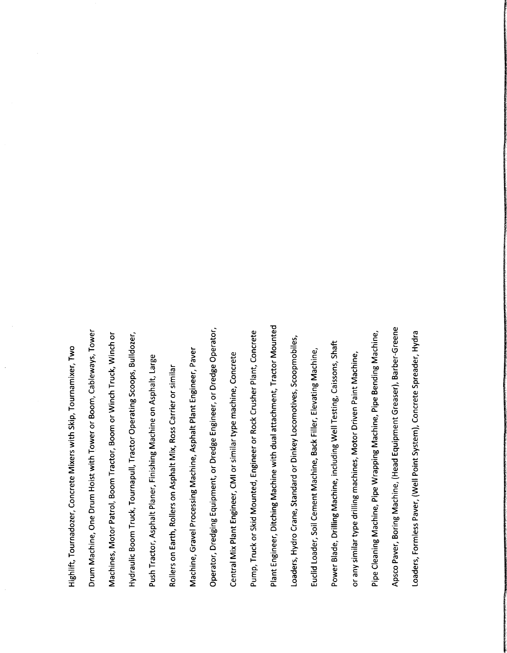Highlift, Tournadozer, <u>concrete</u> Mixers  $\overline{\phantom{a}}$  $\bm{\omega}$ Tournamixer, Two sets in the contract of the contract of the contract of the contract of the contract of the contract of the contract of the contract of the contract of the contract of the contract of the contract of the contract of th Drum Machine,  $\overline{\phantom{a}}$ Drum  $\rightarrow$  $\tilde{\phantom{a}}$ Tower or Boom, Cableways, Tower Machines,  $-$ Patrol, Boom Tractor, Boom or  $\tilde{\phantom{a}}$  $\mathbf{r}$  $\overline{\phantom{a}}$ or Hydraulic Company of the company of the company of the company of the company of the company of the company of Boom Truck,  $\bullet$  Tournament and  $\bullet$ Tractor  $\overline{\phantom{a}}$ Scoops, Bulldozer, Push Tractor, Asphalt Planer, Finishing Machine on Asphalt,  $\overline{\phantom{a}}$ Rollers on Earth, Rollers on Asphalt  $\epsilon$ Ross  $\sim$ or similar Machine,  $\tilde{\phantom{a}}$ Processing Machine, Asphalt  $\blacksquare$ Engineer, Paver  $\sim$ Dredging Equipment, or Dredge Engineer, or Dredge  $\sim$  $\tilde{\phantom{a}}$  $\epsilon$ Plant Engineer,  $\tilde{\phantom{a}}$ or similar  $\overline{\phantom{a}}$ machine, <u>rando de la conc</u>rete de la concrete de la concrete de la concrete de la concrete de la concrete de la concrete d  $\blacksquare$  $\blacksquare$ or v, Mounted, Engineer or Rock Crusher Plant, Concrete Plant Engineer, Ditching Machine  $\tilde{\phantom{a}}$ dual attachment, Tractor Mounted Loaders, Hydro  $\tilde{\phantom{a}}$  $\bullet$  . The standard state  $\bullet$ or Dinkey Locomotives,  $\sim$  scoopers and  $\sim$ european anno 1970. Anno 1970 anno 1970 ann ann an t-Loader, o, Cement Machine, w  $-$ Elevating Machine, Power Blade, Drilling Machine, including  $\tilde{\phantom{a}}$ Testing, Caissons,  $\cdot$ or  $\mathbf{\varpi}$ similar  $\overline{\phantom{a}}$ drilling machines,  $\overline{\phantom{a}}$ Driven Paint Machine, ட  $\sim$  1 Machine, Pipe \<br>china Machine, Pipe Bending Machine, Apsco Paver, Boring  $\overline{\phantom{a}}$  $Head$ Greaser), Barber-Greene  $-$ Formless Paver, (  $\tilde{\phantom{a}}$ Point System), Concrete  $\sim$   $\sim$  $\overline{\phantom{a}}$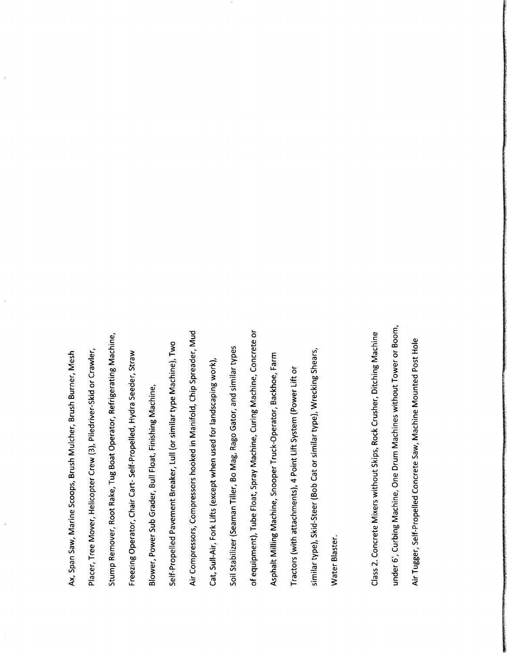Ax, v, Saw, Marine Scoops, Brush Mulcher, Brush Burner,  $\blacksquare$ Placer, Tree Mover, Helicopter  $\tilde{\phantom{a}}$  $\bar{\widehat{\mathbf{e}}}_$ v, or Crawler, Stump Remover, Root Rake, Tug Boat  $\sim$ Refrigerating Machine, Freezing Operator,  $\tilde{\phantom{a}}$  $\checkmark$ v, Propelled,  $\rightarrow$ Seeder, Straw Blower, Power Sub Grader,  $\bf{v}$ Float,  $\blacksquare$ Self- I<br>Self- Propelled<br>Self- Propelled Pavement Breaker,  $\overline{\phantom{a}}$ or  $\cdot$   $\cdot$  $\overline{\phantom{a}}$ Machine), Two contracts of the contracts of the contracts of the contracts of the contracts of the contracts of the contracts of the contracts of the contracts of the contracts of the contracts of the contracts of the contracts of t  $\overline{A}$ Compressors hooked and the state of the state of the state of the state of the state of the state of the state of the state of the state of the state of the state of the state of the state of the state of the state of the state of the  $\bar{m}$  $\overline{\phantom{a}}$  $\bullet$  .  $\epsilon$  $\mathbf{\mathcal{L}}$ v, Air, Fork  $\sim$  $\tilde{\phantom{a}}$  $\overline{\phantom{a}}$ for landscaping  $\tilde{\phantom{a}}$  $\frac{1}{5}$  $\bullet$  . The seaman is the seaman in the seaman in the seaman in the seaman in the seaman in the seaman in the seaman in the seaman in the seaman in the seaman in the seaman in the seaman in the seaman in the seaman in the Tiller, Bo  $\epsilon$ Rago  $\tilde{\phantom{a}}$ and  $\cdot$   $\cdot$  $\overline{\phantom{a}}$  $\bar{5}$  $\mathbf{r}$ Float, v, Machine,  $\overline{\phantom{a}}$  $-$ Concrete or Asphalt  $\epsilon$  and  $\epsilon$  $\sim$  snow  $\sim$  $\mathbf r$ Operator, Backhoe,  $\blacksquare$ Tractors ( with attachments), 4 F  $\overline{\phantom{a}}$ System ( Power Lift or  $\cdot$  .  $\overline{\phantom{a}}$ v, Steer(  $\mathbf{p}$  $\checkmark$ or similar  $\overline{\phantom{a}}$  $\overline{\phantom{a}}$ Shears,  $\overline{\phantom{a}}$ Blaster.  $\sim$  $\frac{1}{2}$ Mixers with the contract of the contract of the contract of the contract of the contract of the contract of the contract of the contract of the contract of the contract of the contract of the contract of the contract of the contr Skips, Rock Crusher, Ditching Machine and the contract of the contract of the contract of the contract of the contract of the contract of the contract of the contract of the contract of the contract of the contract of the contract of the contract of th under ັບ<br>ທ Machine,  $\tilde{\phantom{a}}$ Drum Machines with the contract of the contract of the contract of the contract of the contract of the contract of the contract of the contract of the contract of the contract of the contract of the contract of the contract of the contr Tower or Boom, .<br>दा Self-Propelled and the control of the control of the control of the control of the control of the control of the control of the control of the control of the control of the control of the control of the control of the control o Concrete Saw, Machine Mounted Post Hole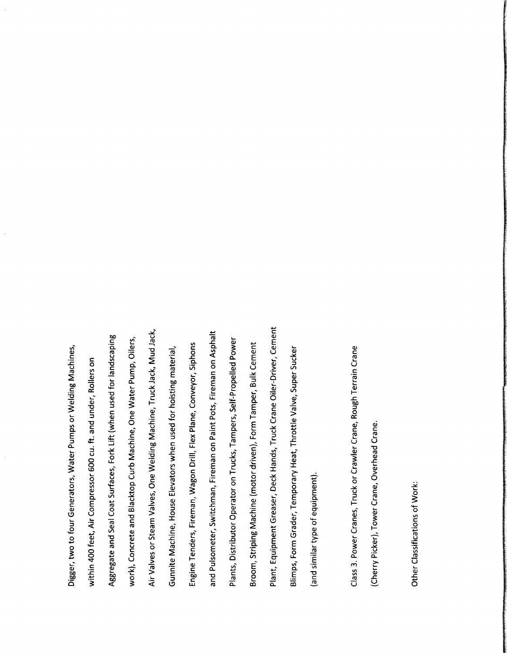Digger,  $\overline{\phantom{a}}$ to  $\ddotsc$ Generators,  $\overline{\phantom{a}}$ Pumps  $\widetilde{5}$ Machines,  $\overline{ }$ 9.  $\overline{\phantom{a}}$  $\overline{A}$  $\mathbf \omega$ cu. ت.<br>∉ under, Rollers on Aggregate and v,  $\tilde{\phantom{a}}$ Surfaces, Fork  $\overline{\phantom{a}}$  $\tilde{\phantom{a}}$ used and the set of the set of the set of the set of the set of the set of the set of the set of the set of the set of the set of the set of the set of the set of the set of the set of the set of the set of the set of the for landscaping  $\tilde{\phantom{a}}$ Concrete and Blacktop  $\tilde{\phantom{a}}$ Machine,  $\tilde{\phantom{a}}$ water in the contract of the contract of the contract of the contract of the contract of the contract of the contract of the contract of the contract of the contract of the contract of the contract of the contract of the c Pump,  $\tilde{\phantom{a}}$ Air  $\mathcal{L}$ or Steam  $\sim$ One \<br>One \ Machine, Truck  $\overline{\phantom{a}}$  $\epsilon$ — Gunnite  $\overline{\phantom{a}}$ House Elevators  $\mathcal{L}$  $\overline{\phantom{a}}$ for hoisting material, Engine Tenders,  $$ wagon and the state of the state of the state of the state of the state of the state of the state of the state of the state of the state of the state of the state of the state of the state of the state of the state of the  $\blacksquare$ Flex Plane, Conveyor, Siphons and Pulsometer, Switchman, Fireman on  $\blacksquare$ Pots, Fireman on Asphalt Plants, Distributor Operator on Trucks,  $\blacksquare$ Self- Propelled and the Self- Propelled and the Propelled and the Propelled and the Propelled and the Self- Propelled and the Self- Propelled and the Self- Propelled and the Propelled and the Propelled and the Propelled an Power Broom, Striping Machine (  $$ driven), Form Tamper, Bulk Cement  $\blacksquare$  $\equiv$ Greaser, Deck Hands, Truck  $\sim$  $\check{ }$ Driver,  $\sim$ Blimps, Form Grader, Temporary Heat, Throttle  $\tilde{\phantom{a}}$ Super Sucker  $\ddotsc$ similar  $\overline{\phantom{a}}$  $\bar{5}$ 

 $\sim$  $\frac{1}{2}$  $\sim$ Truck or Crawler  $\tilde{\phantom{a}}$ Rough Terrain  $\sim$  $\sim$   $-$ Picker), Tower  $\tilde{\phantom{a}}$ Overhead  $\tilde{\phantom{a}}$ 

 $\tilde{\phantom{a}}$ Classifications of  $\tilde{\phantom{a}}$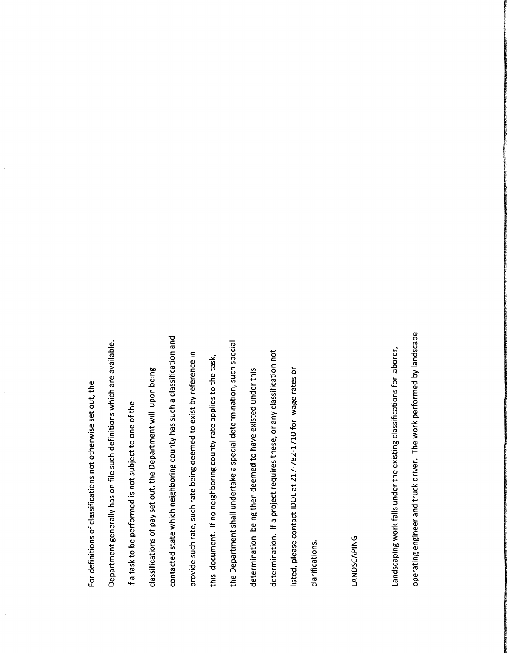r – definition of the contract of the contract of the contract of the contract of the contract of the contract of the contract of the contract of the contract of the contract of the contract of the contract of the contract of of contract and contract the contract of the contract of the contract of the contract of the contract of the contract of the contract of the contract of the contract of the contract of the contract of the contract of the cont not otherwise set  $\mathbf \omega$  $\overline{\phantom{a}}$ Department generally has on file such definitions  $\overline{\phantom{a}}$ are available. Ifa task to e<br>B<br>S is not  $\cdot$ to one of  $\overline{\phantom{a}}$ classifications contacted  $\circ$  $\mathbf{p}$ set  $\overline{\phantom{a}}$ the I  $\mathcal P$ upon ang mga magaalang sa magaalang sa magaalang sa magaalang sa magaalang sa magaalang sa magaalang sa magaalang sa magaalang sa magaalang sa magaalang sa magaalang sa magaalang sa magaalang sa magaalang sa magaalang sa m being v, which i<br>e, such  $\overline{\phantom{a}}$ has such a<br>xist by<br>xist by  $\ddotsc$ <u>provide</u> such  $\sim$ such rate being deemed  $\tilde{e}$  $\bar{\epsilon}$ ا⊒.  $\overline{\phantom{a}}$ document.  $\ddot{}$ none<br>Digital<br>Digital  $\sim$ rate  $\sim$ to  $\overline{\phantom{a}}$  $\overline{\phantom{a}}$ the  $\overline{e}$ v, undertake a :<br>then deemed<br>then deemed such  $\cdots$ ا تمک  $\overline{\phantom{a}}$ deemed to have existed  $\overline{\phantom{a}}$  $\overline{\phantom{a}}$ le 11 requires these, or  $\boldsymbol{\varpi}$ classification in the contraction of the contraction of the contraction of the contraction of the contraction of the contraction of the contraction of the contraction of the contraction of the contraction of the contractio not  $\equiv$  $\overline{\phantom{a}}$ contact contact the contact of the contact of the contact of the contact of the contact of the contact of the contact of the contact of the contact of the contact of the contact of the contact of the contact of the contact  $\overline{\phantom{a}}$ **ان**  $\sim$ 792  $\blacksquare$ for was a contract of the contract of the contract of the contract of the contract of the contract of the contract of the contract of the contract of the contract of the contract of the contract of the contract of the contract rates or

clarifications. LANDSCAPING Landscaping  $\tilde{\phantom{a}}$  $\leftarrow$ under theexisting classifications for laborer, operating engineer and  $\overline{\phantom{a}}$ driver.  $\blacksquare$ work **p** l<br>ad